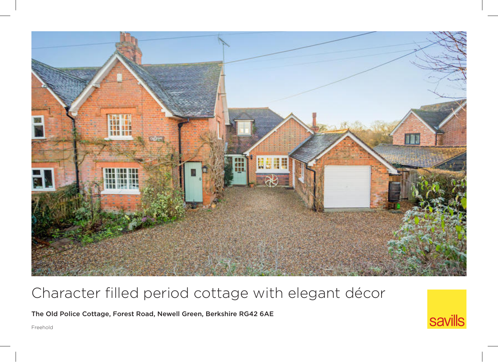

## Character filled period cottage with elegant décor

The Old Police Cottage, Forest Road, Newell Green, Berkshire RG42 6AE

Freehold

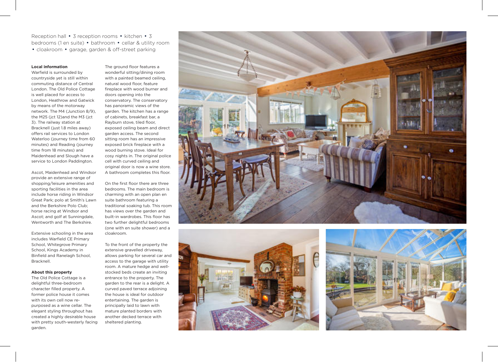Reception hall • 3 reception rooms • kitchen • 3 bedrooms (1 en suite) • bathroom • cellar & utility room • cloakroom • garage, garden & off-street parking

## **Local information**

Warfield is surrounded by countryside yet is still within commuting distance of Central London. The Old Police Cottage is well placed for access to London, Heathrow and Gatwick by means of the motorway network. The M4 (Junction 8/9), the M25 (jct 12)and the M3 (jct 3). The railway station at Bracknell (just 1.8 miles away) offers rail services to London Waterloo (journey time from 60 minutes) and Reading (journey time from 18 minutes) and Maidenhead and Slough have a service to London Paddington.

Ascot, Maidenhead and Windsor provide an extensive range of shopping/leisure amenities and sporting facilities in the area include horse riding in Windsor Great Park; polo at Smith's Lawn and the Berkshire Polo Club; horse racing at Windsor and Ascot; and golf at Sunningdale, Wentworth and The Berkshire.

Extensive schooling in the area includes Warfield CE Primary School, Whitegrove Primary School, Kings Academy in Binfield and Ranelagh School, Bracknell.

## **About this property**

The Old Police Cottage is a delightful three-bedroom character filled property. A former police house it comes with its own cell now repurposed as a wine cellar. The elegant styling throughout has created a highly desirable house with pretty south-westerly facing garden.

The ground floor features a wonderful sitting/dining room with a painted beamed ceiling. natural wood floor, feature fireplace with wood burner and doors opening into the conservatory. The conservatory has panoramic views of the garden. The kitchen has a range of cabinets, breakfast bar, a Rayburn stove, tiled floor, exposed ceiling beam and direct garden access. The second sitting room has an impressive exposed brick fireplace with a wood burning stove. Ideal for cosy nights in. The original police cell with curved ceiling and original door is now a wine store. A bathroom completes this floor.

On the first floor there are three bedrooms. The main bedroom is charming with an open plan en suite bathroom featuring a traditional soaking tub. This room has views over the garden and built-in wardrobes. This floor has two further delightful bedrooms (one with en suite shower) and a cloakroom.

To the front of the property the extensive gravelled driveway, allows parking for several car and access to the garage with utility room. A mature hedge and wellstocked beds create an inviting entrance to the property. The garden to the rear is a delight. A curved paved terrace adjoining the house is ideal for outdoor entertaining. The garden is principally laid to lawn with mature planted borders with another decked terrace with sheltered planting.





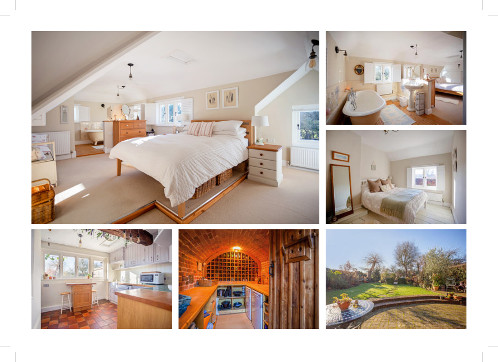